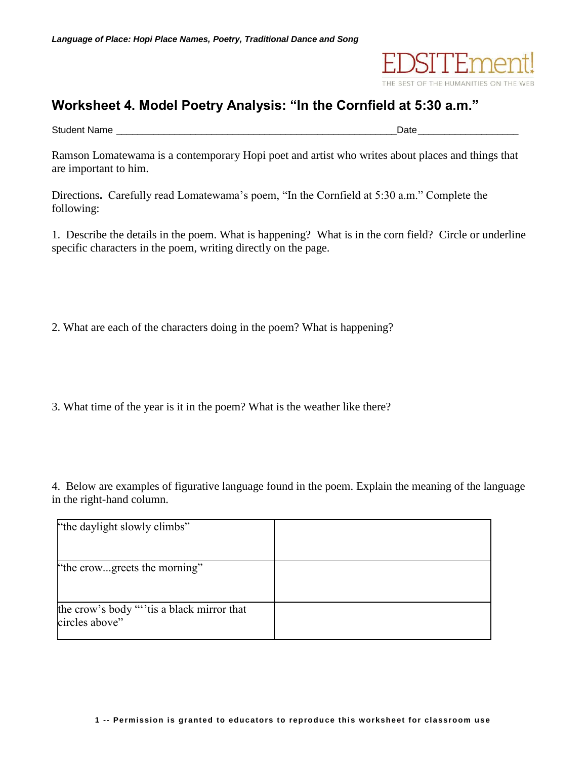

## **Worksheet 4. Model Poetry Analysis: "In the Cornfield at 5:30 a.m."**

Student Name \_\_\_\_\_\_\_\_\_\_\_\_\_\_\_\_\_\_\_\_\_\_\_\_\_\_\_\_\_\_\_\_\_\_\_\_\_\_\_\_\_\_\_\_\_\_\_\_\_\_\_\_\_Date\_\_\_\_\_\_\_\_\_\_\_\_\_\_\_\_\_\_\_

Ramson Lomatewama is a contemporary Hopi poet and artist who writes about places and things that are important to him.

Directions**.** Carefully read Lomatewama's poem, "In the Cornfield at 5:30 a.m." Complete the following:

1. Describe the details in the poem. What is happening? What is in the corn field? Circle or underline specific characters in the poem, writing directly on the page.

2. What are each of the characters doing in the poem? What is happening?

3. What time of the year is it in the poem? What is the weather like there?

4. Below are examples of figurative language found in the poem. Explain the meaning of the language in the right-hand column.

| "the daylight slowly climbs"                               |  |
|------------------------------------------------------------|--|
|                                                            |  |
| "the crowgreets the morning"                               |  |
|                                                            |  |
| the crow's body ""is a black mirror that<br>circles above" |  |